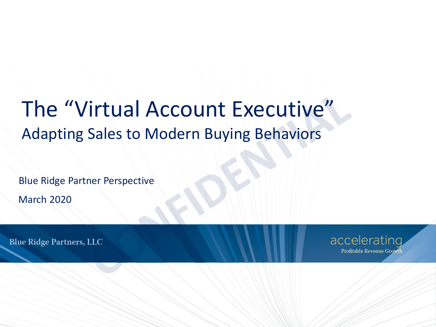# The "Virtual Account Executive" Adapting Sales to Modern Buying Behaviors

Blue Ridge Partner Perspective

March 2020

**Blue Ridge Partners, LLC** 

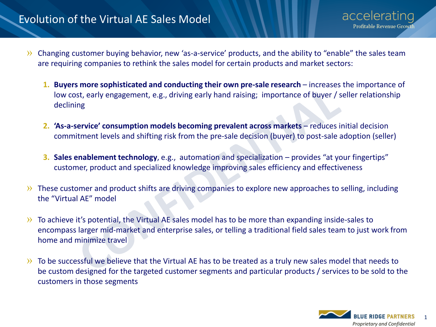## Evolution of the Virtual AE Sales Model

acceleratinc Profitable Revenue Growt

- » Changing customer buying behavior, new 'as-a-service' products, and the ability to "enable" the sales team are requiring companies to rethink the sales model for certain products and market sectors:
	- **1. Buyers more sophisticated and conducting their own pre-sale research increases the importance of** low cost, early engagement, e.g., driving early hand raising; importance of buyer / seller relationship declining
	- **2. 'As-a-service' consumption models becoming prevalent across markets** reduces initial decision commitment levels and shifting risk from the pre-sale decision (buyer) to post-sale adoption (seller)
	- **3. Sales enablement technology**, e.g., automation and specialization provides "at your fingertips" customer, product and specialized knowledge improving sales efficiency and effectiveness
- » These customer and product shifts are driving companies to explore new approaches to selling, including the "Virtual AE" model
- » To achieve it's potential, the Virtual AE sales model has to be more than expanding inside-sales to encompass larger mid-market and enterprise sales, or telling a traditional field sales team to just work from home and minimize travel
- » To be successful we believe that the Virtual AE has to be treated as a truly new sales model that needs to be custom designed for the targeted customer segments and particular products / services to be sold to the customers in those segments

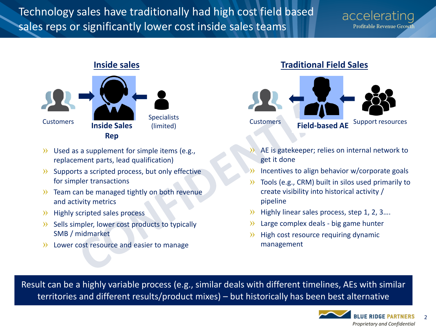## Technology sales have traditionally had high cost field based sales reps or significantly lower cost inside sales teams

## accelerating **Profitable Revenue Growth**



- » Used as a supplement for simple items (e.g., replacement parts, lead qualification)
- » Supports a scripted process, but only effective for simpler transactions
- » Team can be managed tightly on both revenue and activity metrics
- » Highly scripted sales process
- » Sells simpler, lower cost products to typically SMB / midmarket
- » Lower cost resource and easier to manage

## **Inside sales Traditional Field Sales**



- » AE is gatekeeper; relies on internal network to get it done
- Incentives to align behavior w/corporate goals
- » Tools (e.g., CRM) built in silos used primarily to create visibility into historical activity / pipeline
- » Highly linear sales process, step 1, 2, 3….
- » Large complex deals big game hunter
- » High cost resource requiring dynamic management

Result can be a highly variable process (e.g., similar deals with different timelines, AEs with similar territories and different results/product mixes) – but historically has been best alternative

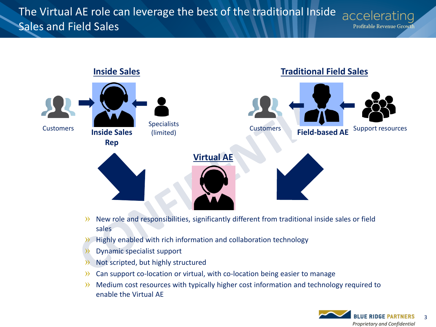#### The Virtual AE role can leverage the best of the traditional Inside accelerating Sales and Field Sales Profitable Revenue Growth



- » New role and responsibilities, significantly different from traditional inside sales or field sales
- » Highly enabled with rich information and collaboration technology
- » Dynamic specialist support
- » Not scripted, but highly structured
- » Can support co-location or virtual, with co-location being easier to manage
- » Medium cost resources with typically higher cost information and technology required to enable the Virtual AE

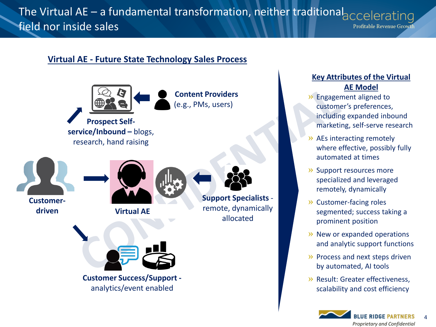### The Virtual AE – a fundamental transformation, neither traditional accelerating field nor inside sales Profitable Revenue Growth

## **Virtual AE - Future State Technology Sales Process**



### **Key Attributes of the Virtual AE Model**

- » Engagement aligned to customer's preferences, including expanded inbound marketing, self-serve research
- » AEs interacting remotely where effective, possibly fully automated at times
- » Support resources more specialized and leveraged remotely, dynamically
- » Customer-facing roles segmented; success taking a prominent position
- » New or expanded operations and analytic support functions
- » Process and next steps driven by automated, AI tools
- » Result: Greater effectiveness, scalability and cost efficiency

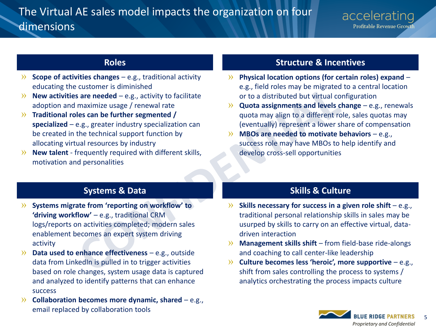## The Virtual AE sales model impacts the organization on four dimensions

- » **Scope of activities changes**  e.g., traditional activity educating the customer is diminished
- $\rightarrow$  **New activities are needed** e.g., activity to facilitate adoption and maximize usage / renewal rate
- » **Traditional roles can be further segmented / specialized** – e.g., greater industry specialization can be created in the technical support function by allocating virtual resources by industry
- » **New talent**  frequently required with different skills, motivation and personalities

## **Roles Structure & Incentives**

- » **Physical location options (for certain roles) expand**  e.g., field roles may be migrated to a central location or to a distributed but virtual configuration
- » **Quota assignments and levels change**  e.g., renewals quota may align to a different role, sales quotas may (eventually) represent a lower share of compensation
- » **MBOs are needed to motivate behaviors**  e.g., success role may have MBOs to help identify and develop cross-sell opportunities

## **Systems & Data Skills & Culture**

- » **Systems migrate from 'reporting on workflow' to 'driving workflow'** – e.g., traditional CRM logs/reports on activities completed; modern sales enablement becomes an expert system driving activity
- » **Data used to enhance effectiveness**  e.g., outside data from LinkedIn is pulled in to trigger activities based on role changes, system usage data is captured and analyzed to identify patterns that can enhance success
- » **Collaboration becomes more dynamic, shared** e.g., email replaced by collaboration tools

- » **Skills necessary for success in a given role shift**  e.g., traditional personal relationship skills in sales may be usurped by skills to carry on an effective virtual, datadriven interaction
- » **Management skills shift**  from field-base ride-alongs and coaching to call center-like leadership
- » **Culture becomes less 'heroic', more supportive**  e.g., shift from sales controlling the process to systems / analytics orchestrating the process impacts culture

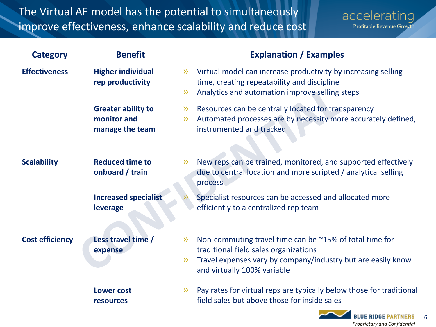## The Virtual AE model has the potential to simultaneously improve effectiveness, enhance scalability and reduce cost

accelerating Profitable Revenue Growth

*Proprietary and Confidential*

6

| <b>Category</b>        | <b>Benefit</b>                                              | <b>Explanation / Examples</b>                                                                                                                                                                                     |
|------------------------|-------------------------------------------------------------|-------------------------------------------------------------------------------------------------------------------------------------------------------------------------------------------------------------------|
| <b>Effectiveness</b>   | <b>Higher individual</b><br>rep productivity                | Virtual model can increase productivity by increasing selling<br>$\gg$<br>time, creating repeatability and discipline<br>Analytics and automation improve selling steps<br>$\gg$                                  |
|                        | <b>Greater ability to</b><br>monitor and<br>manage the team | Resources can be centrally located for transparency<br>$\gg$<br>Automated processes are by necessity more accurately defined,<br>$\gg$<br>instrumented and tracked                                                |
| <b>Scalability</b>     | <b>Reduced time to</b><br>onboard / train                   | New reps can be trained, monitored, and supported effectively<br>$\gg$<br>due to central location and more scripted / analytical selling<br>process                                                               |
|                        | <b>Increased specialist</b><br>leverage                     | Specialist resources can be accessed and allocated more<br>efficiently to a centralized rep team                                                                                                                  |
| <b>Cost efficiency</b> | Less travel time /<br>expense                               | Non-commuting travel time can be ~15% of total time for<br>$\gg$<br>traditional field sales organizations<br>Travel expenses vary by company/industry but are easily know<br>$\gg$<br>and virtually 100% variable |
|                        | <b>Lower cost</b><br><b>resources</b>                       | Pay rates for virtual reps are typically below those for traditional<br>$\gg$<br>field sales but above those for inside sales<br><b>BLUE RIDGE PARTNERS</b>                                                       |